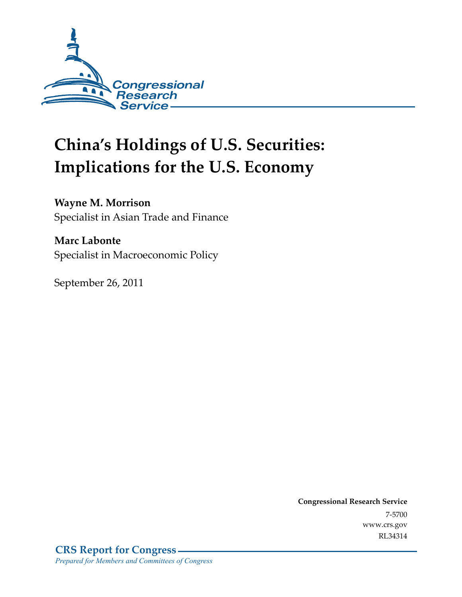

# **China's Holdings of U.S. Securities: Implications for the U.S. Economy**

### **Wayne M. Morrison**

Specialist in Asian Trade and Finance

#### **Marc Labonte**

Specialist in Macroeconomic Policy

September 26, 2011

**Congressional Research Service**  7-5700 www.crs.gov RL34314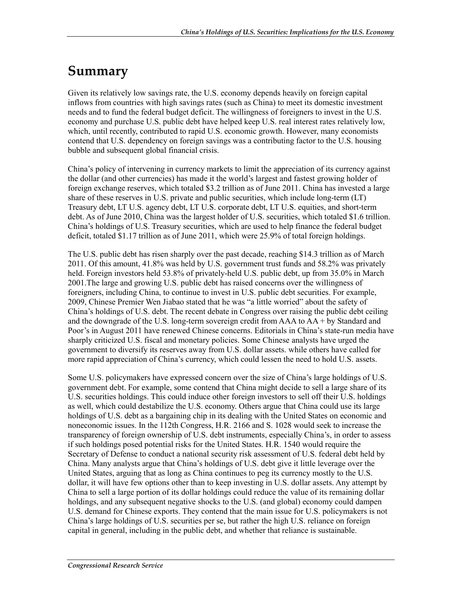## **Summary**

Given its relatively low savings rate, the U.S. economy depends heavily on foreign capital inflows from countries with high savings rates (such as China) to meet its domestic investment needs and to fund the federal budget deficit. The willingness of foreigners to invest in the U.S. economy and purchase U.S. public debt have helped keep U.S. real interest rates relatively low, which, until recently, contributed to rapid U.S. economic growth. However, many economists contend that U.S. dependency on foreign savings was a contributing factor to the U.S. housing bubble and subsequent global financial crisis.

China's policy of intervening in currency markets to limit the appreciation of its currency against the dollar (and other currencies) has made it the world's largest and fastest growing holder of foreign exchange reserves, which totaled \$3.2 trillion as of June 2011. China has invested a large share of these reserves in U.S. private and public securities, which include long-term (LT) Treasury debt, LT U.S. agency debt, LT U.S. corporate debt, LT U.S. equities, and short-term debt. As of June 2010, China was the largest holder of U.S. securities, which totaled \$1.6 trillion. China's holdings of U.S. Treasury securities, which are used to help finance the federal budget deficit, totaled \$1.17 trillion as of June 2011, which were 25.9% of total foreign holdings.

The U.S. public debt has risen sharply over the past decade, reaching \$14.3 trillion as of March 2011. Of this amount, 41.8% was held by U.S. government trust funds and 58.2% was privately held. Foreign investors held 53.8% of privately-held U.S. public debt, up from 35.0% in March 2001.The large and growing U.S. public debt has raised concerns over the willingness of foreigners, including China, to continue to invest in U.S. public debt securities. For example, 2009, Chinese Premier Wen Jiabao stated that he was "a little worried" about the safety of China's holdings of U.S. debt. The recent debate in Congress over raising the public debt ceiling and the downgrade of the U.S. long-term sovereign credit from AAA to AA + by Standard and Poor's in August 2011 have renewed Chinese concerns. Editorials in China's state-run media have sharply criticized U.S. fiscal and monetary policies. Some Chinese analysts have urged the government to diversify its reserves away from U.S. dollar assets. while others have called for more rapid appreciation of China's currency, which could lessen the need to hold U.S. assets.

Some U.S. policymakers have expressed concern over the size of China's large holdings of U.S. government debt. For example, some contend that China might decide to sell a large share of its U.S. securities holdings. This could induce other foreign investors to sell off their U.S. holdings as well, which could destabilize the U.S. economy. Others argue that China could use its large holdings of U.S. debt as a bargaining chip in its dealing with the United States on economic and noneconomic issues. In the 112th Congress, H.R. 2166 and S. 1028 would seek to increase the transparency of foreign ownership of U.S. debt instruments, especially China's, in order to assess if such holdings posed potential risks for the United States. H.R. 1540 would require the Secretary of Defense to conduct a national security risk assessment of U.S. federal debt held by China. Many analysts argue that China's holdings of U.S. debt give it little leverage over the United States, arguing that as long as China continues to peg its currency mostly to the U.S. dollar, it will have few options other than to keep investing in U.S. dollar assets. Any attempt by China to sell a large portion of its dollar holdings could reduce the value of its remaining dollar holdings, and any subsequent negative shocks to the U.S. (and global) economy could dampen U.S. demand for Chinese exports. They contend that the main issue for U.S. policymakers is not China's large holdings of U.S. securities per se, but rather the high U.S. reliance on foreign capital in general, including in the public debt, and whether that reliance is sustainable.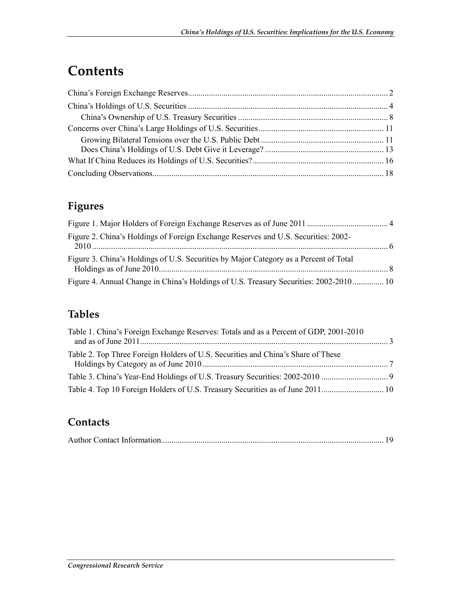## **Contents**

### **Figures**

| Figure 2. China's Holdings of Foreign Exchange Reserves and U.S. Securities: 2002-    |  |
|---------------------------------------------------------------------------------------|--|
| Figure 3. China's Holdings of U.S. Securities by Major Category as a Percent of Total |  |
| Figure 4. Annual Change in China's Holdings of U.S. Treasury Securities: 2002-2010 10 |  |

### **Tables**

| Table 1. China's Foreign Exchange Reserves: Totals and as a Percent of GDP, 2001-2010 |  |
|---------------------------------------------------------------------------------------|--|
| Table 2. Top Three Foreign Holders of U.S. Securities and China's Share of These      |  |
|                                                                                       |  |
|                                                                                       |  |

### **Contacts**

|--|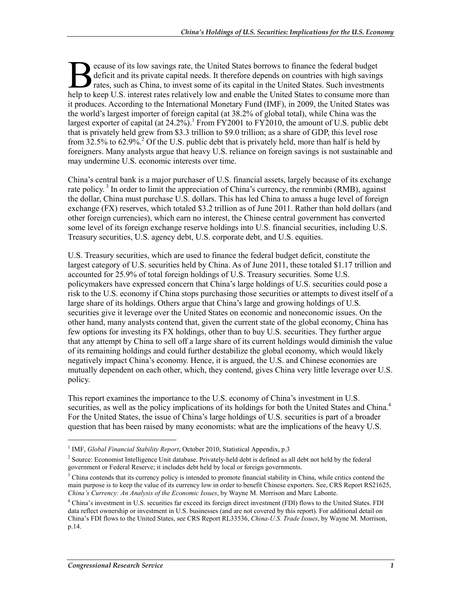ecause of its low savings rate, the United States borrows to finance the federal budget deficit and its private capital needs. It therefore depends on countries with high savings rates, such as China, to invest some of its capital in the United States. Such investments ecause of its low savings rate, the United States borrows to finance the federal budget deficit and its private capital needs. It therefore depends on countries with high savings rates, such as China, to invest some of its it produces. According to the International Monetary Fund (IMF), in 2009, the United States was the world's largest importer of foreign capital (at 38.2% of global total), while China was the largest exporter of capital (at  $24.2\%$ ). From FY2001 to FY2010, the amount of U.S. public debt that is privately held grew from \$3.3 trillion to \$9.0 trillion; as a share of GDP, this level rose from  $32.5\%$  to  $62.9\%$ <sup>2</sup>. Of the U.S. public debt that is privately held, more than half is held by foreigners. Many analysts argue that heavy U.S. reliance on foreign savings is not sustainable and may undermine U.S. economic interests over time.

China's central bank is a major purchaser of U.S. financial assets, largely because of its exchange rate policy.<sup>3</sup> In order to limit the appreciation of China's currency, the renminbi (RMB), against the dollar, China must purchase U.S. dollars. This has led China to amass a huge level of foreign exchange (FX) reserves, which totaled \$3.2 trillion as of June 2011. Rather than hold dollars (and other foreign currencies), which earn no interest, the Chinese central government has converted some level of its foreign exchange reserve holdings into U.S. financial securities, including U.S. Treasury securities, U.S. agency debt, U.S. corporate debt, and U.S. equities.

U.S. Treasury securities, which are used to finance the federal budget deficit, constitute the largest category of U.S. securities held by China. As of June 2011, these totaled \$1.17 trillion and accounted for 25.9% of total foreign holdings of U.S. Treasury securities. Some U.S. policymakers have expressed concern that China's large holdings of U.S. securities could pose a risk to the U.S. economy if China stops purchasing those securities or attempts to divest itself of a large share of its holdings. Others argue that China's large and growing holdings of U.S. securities give it leverage over the United States on economic and noneconomic issues. On the other hand, many analysts contend that, given the current state of the global economy, China has few options for investing its FX holdings, other than to buy U.S. securities. They further argue that any attempt by China to sell off a large share of its current holdings would diminish the value of its remaining holdings and could further destabilize the global economy, which would likely negatively impact China's economy. Hence, it is argued, the U.S. and Chinese economies are mutually dependent on each other, which, they contend, gives China very little leverage over U.S. policy.

This report examines the importance to the U.S. economy of China's investment in U.S. securities, as well as the policy implications of its holdings for both the United States and China.<sup>4</sup> For the United States, the issue of China's large holdings of U.S. securities is part of a broader question that has been raised by many economists: what are the implications of the heavy U.S.

<sup>&</sup>lt;sup>1</sup> IMF, *Global Financial Stability Report*, October 2010, Statistical Appendix, p.3

<sup>&</sup>lt;sup>2</sup> Source: Economist Intelligence Unit database. Privately-held debt is defined as all debt not held by the federal government or Federal Reserve; it includes debt held by local or foreign governments.

<sup>&</sup>lt;sup>3</sup> China contends that its currency policy is intended to promote financial stability in China, while critics contend the main purpose is to keep the value of its currency low in order to benefit Chinese exporters. See, CRS Report RS21625, *China's Currency: An Analysis of the Economic Issues*, by Wayne M. Morrison and Marc Labonte.

<sup>4</sup> China's investment in U.S. securities far exceed its foreign direct investment (FDI) flows to the United States. FDI data reflect ownership or investment in U.S. businesses (and are not covered by this report). For additional detail on China's FDI flows to the United States, see CRS Report RL33536, *China-U.S. Trade Issues*, by Wayne M. Morrison, p.14.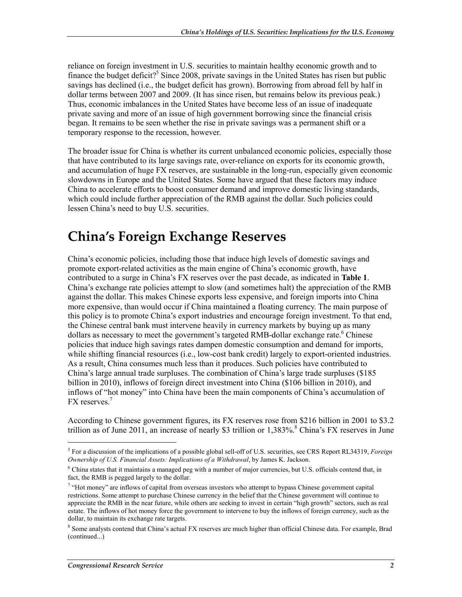reliance on foreign investment in U.S. securities to maintain healthy economic growth and to finance the budget deficit?<sup>5</sup> Since 2008, private savings in the United States has risen but public savings has declined (i.e., the budget deficit has grown). Borrowing from abroad fell by half in dollar terms between 2007 and 2009. (It has since risen, but remains below its previous peak.) Thus, economic imbalances in the United States have become less of an issue of inadequate private saving and more of an issue of high government borrowing since the financial crisis began. It remains to be seen whether the rise in private savings was a permanent shift or a temporary response to the recession, however.

The broader issue for China is whether its current unbalanced economic policies, especially those that have contributed to its large savings rate, over-reliance on exports for its economic growth, and accumulation of huge FX reserves, are sustainable in the long-run, especially given economic slowdowns in Europe and the United States. Some have argued that these factors may induce China to accelerate efforts to boost consumer demand and improve domestic living standards, which could include further appreciation of the RMB against the dollar. Such policies could lessen China's need to buy U.S. securities.

### **China's Foreign Exchange Reserves**

China's economic policies, including those that induce high levels of domestic savings and promote export-related activities as the main engine of China's economic growth, have contributed to a surge in China's FX reserves over the past decade, as indicated in **Table 1**. China's exchange rate policies attempt to slow (and sometimes halt) the appreciation of the RMB against the dollar. This makes Chinese exports less expensive, and foreign imports into China more expensive, than would occur if China maintained a floating currency. The main purpose of this policy is to promote China's export industries and encourage foreign investment. To that end, the Chinese central bank must intervene heavily in currency markets by buying up as many dollars as necessary to meet the government's targeted RMB-dollar exchange rate.<sup>6</sup> Chinese policies that induce high savings rates dampen domestic consumption and demand for imports, while shifting financial resources (i.e., low-cost bank credit) largely to export-oriented industries. As a result, China consumes much less than it produces. Such policies have contributed to China's large annual trade surpluses. The combination of China's large trade surpluses (\$185 billion in 2010), inflows of foreign direct investment into China (\$106 billion in 2010), and inflows of "hot money" into China have been the main components of China's accumulation of FX reserves.<sup>7</sup>

According to Chinese government figures, its FX reserves rose from \$216 billion in 2001 to \$3.2 trillion as of June 2011, an increase of nearly \$3 trillion or  $1,383\%$ .<sup>8</sup> China's FX reserves in June

<sup>5</sup> For a discussion of the implications of a possible global sell-off of U.S. securities, see CRS Report RL34319, *Foreign Ownership of U.S. Financial Assets: Implications of a Withdrawal*, by James K. Jackson.

<sup>&</sup>lt;sup>6</sup> China states that it maintains a managed peg with a number of major currencies, but U.S. officials contend that, in fact, the RMB is pegged largely to the dollar.

<sup>&</sup>lt;sup>7</sup> "Hot money" are inflows of capital from overseas investors who attempt to bypass Chinese government capital restrictions. Some attempt to purchase Chinese currency in the belief that the Chinese government will continue to appreciate the RMB in the near future, while others are seeking to invest in certain "high growth" sectors, such as real estate. The inflows of hot money force the government to intervene to buy the inflows of foreign currency, such as the dollar, to maintain its exchange rate targets.

<sup>&</sup>lt;sup>8</sup> Some analysts contend that China's actual FX reserves are much higher than official Chinese data. For example, Brad (continued...)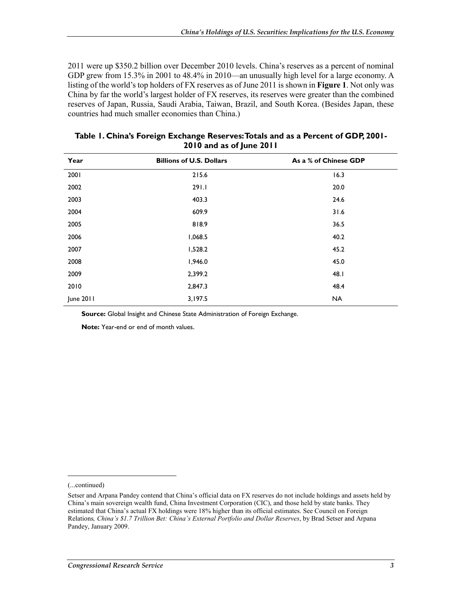2011 were up \$350.2 billion over December 2010 levels. China's reserves as a percent of nominal GDP grew from 15.3% in 2001 to 48.4% in 2010—an unusually high level for a large economy. A listing of the world's top holders of FX reserves as of June 2011 is shown in **Figure 1**. Not only was China by far the world's largest holder of FX reserves, its reserves were greater than the combined reserves of Japan, Russia, Saudi Arabia, Taiwan, Brazil, and South Korea. (Besides Japan, these countries had much smaller economies than China.)

| Year      | <b>Billions of U.S. Dollars</b> | As a % of Chinese GDP |
|-----------|---------------------------------|-----------------------|
| 2001      | 215.6                           | 16.3                  |
| 2002      | 291.1                           | 20.0                  |
| 2003      | 403.3                           | 24.6                  |
| 2004      | 609.9                           | 31.6                  |
| 2005      | 818.9                           | 36.5                  |
| 2006      | 1,068.5                         | 40.2                  |
| 2007      | 1,528.2                         | 45.2                  |
| 2008      | 1,946.0                         | 45.0                  |
| 2009      | 2,399.2                         | 48.I                  |
| 2010      | 2,847.3                         | 48.4                  |
| June 2011 | 3,197.5                         | <b>NA</b>             |

| Table 1. China's Foreign Exchange Reserves: Totals and as a Percent of GDP, 2001- |
|-----------------------------------------------------------------------------------|
| 2010 and as of June 2011                                                          |

**Source:** Global Insight and Chinese State Administration of Foreign Exchange.

**Note:** Year-end or end of month values.

(...continued)

 $\overline{a}$ 

Setser and Arpana Pandey contend that China's official data on FX reserves do not include holdings and assets held by China's main sovereign wealth fund, China Investment Corporation (CIC), and those held by state banks. They estimated that China's actual FX holdings were 18% higher than its official estimates. See Council on Foreign Relations*, China's \$1.7 Trillion Bet: China's External Portfolio and Dollar Reserves*, by Brad Setser and Arpana Pandey, January 2009.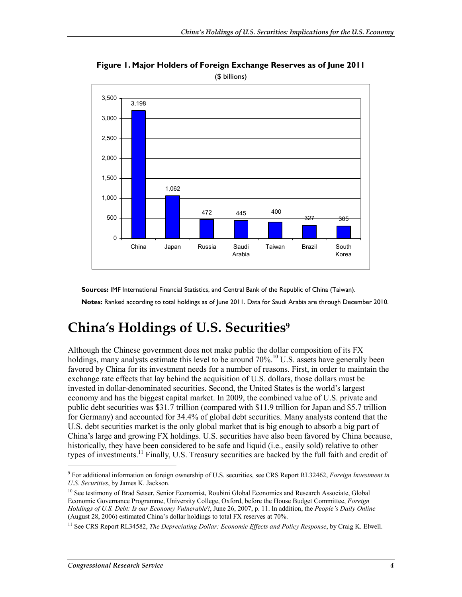

**Figure 1. Major Holders of Foreign Exchange Reserves as of June 2011**  (\$ billions)

**Sources:** IMF International Financial Statistics, and Central Bank of the Republic of China (Taiwan).

**Notes:** Ranked according to total holdings as of June 2011. Data for Saudi Arabia are through December 2010.

## **China's Holdings of U.S. Securities9**

Although the Chinese government does not make public the dollar composition of its FX holdings, many analysts estimate this level to be around  $70\%$ .<sup>10</sup> U.S. assets have generally been favored by China for its investment needs for a number of reasons. First, in order to maintain the exchange rate effects that lay behind the acquisition of U.S. dollars, those dollars must be invested in dollar-denominated securities. Second, the United States is the world's largest economy and has the biggest capital market. In 2009, the combined value of U.S. private and public debt securities was \$31.7 trillion (compared with \$11.9 trillion for Japan and \$5.7 trillion for Germany) and accounted for 34.4% of global debt securities. Many analysts contend that the U.S. debt securities market is the only global market that is big enough to absorb a big part of China's large and growing FX holdings. U.S. securities have also been favored by China because, historically, they have been considered to be safe and liquid (i.e., easily sold) relative to other types of investments.<sup>11</sup> Finally, U.S. Treasury securities are backed by the full faith and credit of

<sup>9</sup> For additional information on foreign ownership of U.S. securities, see CRS Report RL32462, *Foreign Investment in U.S. Securities*, by James K. Jackson.

<sup>&</sup>lt;sup>10</sup> See testimony of Brad Setser, Senior Economist, Roubini Global Economics and Research Associate, Global Economic Governance Programme, University College, Oxford, before the House Budget Committee, *Foreign Holdings of U.S. Debt: Is our Economy Vulnerable*?, June 26, 2007, p. 11. In addition, the *People's Daily Online* (August 28, 2006) estimated China's dollar holdings to total FX reserves at 70%.

<sup>&</sup>lt;sup>11</sup> See CRS Report RL34582, *The Depreciating Dollar: Economic Effects and Policy Response*, by Craig K. Elwell.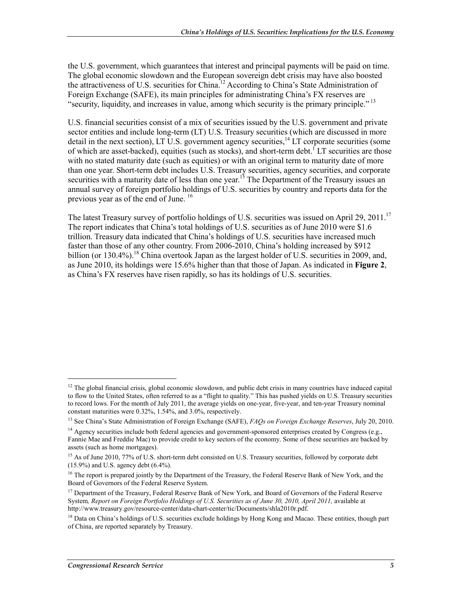the U.S. government, which guarantees that interest and principal payments will be paid on time. The global economic slowdown and the European sovereign debt crisis may have also boosted the attractiveness of U.S. securities for China.12 According to China's State Administration of Foreign Exchange (SAFE), its main principles for administrating China's FX reserves are "security, liquidity, and increases in value, among which security is the primary principle." 13

U.S. financial securities consist of a mix of securities issued by the U.S. government and private sector entities and include long-term (LT) U.S. Treasury securities (which are discussed in more detail in the next section), LT U.S. government agency securities,  $^{14}$  LT corporate securities (some of which are asset-backed), equities (such as stocks), and short-term debt.<sup>1</sup> LT securities are those with no stated maturity date (such as equities) or with an original term to maturity date of more than one year. Short-term debt includes U.S. Treasury securities, agency securities, and corporate securities with a maturity date of less than one year.<sup>15</sup> The Department of the Treasury issues an annual survey of foreign portfolio holdings of U.S. securities by country and reports data for the previous year as of the end of June.<sup>16</sup>

The latest Treasury survey of portfolio holdings of U.S. securities was issued on April 29, 2011.<sup>17</sup> The report indicates that China's total holdings of U.S. securities as of June 2010 were \$1.6 trillion. Treasury data indicated that China's holdings of U.S. securities have increased much faster than those of any other country. From 2006-2010, China's holding increased by \$912 billion (or  $130.4\%$ ).<sup>18</sup> China overtook Japan as the largest holder of U.S. securities in 2009, and, as June 2010, its holdings were 15.6% higher than that those of Japan. As indicated in **Figure 2**, as China's FX reserves have risen rapidly, so has its holdings of U.S. securities.

 $\overline{a}$ 

<sup>&</sup>lt;sup>12</sup> The global financial crisis, global economic slowdown, and public debt crisis in many countries have induced capital to flow to the United States, often referred to as a "flight to quality." This has pushed yields on U.S. Treasury securities to record lows. For the month of July 2011, the average yields on one-year, five-year, and ten-year Treasury nominal constant maturities were 0.32%, 1.54%, and 3.0%, respectively.

<sup>13</sup> See China's State Administration of Foreign Exchange (SAFE), *FAQs on Foreign Exchange Reserves*, July 20, 2010.

<sup>&</sup>lt;sup>14</sup> Agency securities include both federal agencies and government-sponsored enterprises created by Congress (e.g., Fannie Mae and Freddie Mac) to provide credit to key sectors of the economy. Some of these securities are backed by assets (such as home mortgages).

<sup>&</sup>lt;sup>15</sup> As of June 2010, 77% of U.S. short-term debt consisted on U.S. Treasury securities, followed by corporate debt  $(15.9\%)$  and U.S. agency debt  $(6.4\%)$ .

<sup>&</sup>lt;sup>16</sup> The report is prepared jointly by the Department of the Treasury, the Federal Reserve Bank of New York, and the Board of Governors of the Federal Reserve System.

<sup>&</sup>lt;sup>17</sup> Department of the Treasury, Federal Reserve Bank of New York, and Board of Governors of the Federal Reserve System*, Report on Foreign Portfolio Holdings of U.S. Securities as of June 30, 2010, April 2011,* available at http://www.treasury.gov/resource-center/data-chart-center/tic/Documents/shla2010r.pdf.

<sup>&</sup>lt;sup>18</sup> Data on China's holdings of U.S. securities exclude holdings by Hong Kong and Macao. These entities, though part of China, are reported separately by Treasury.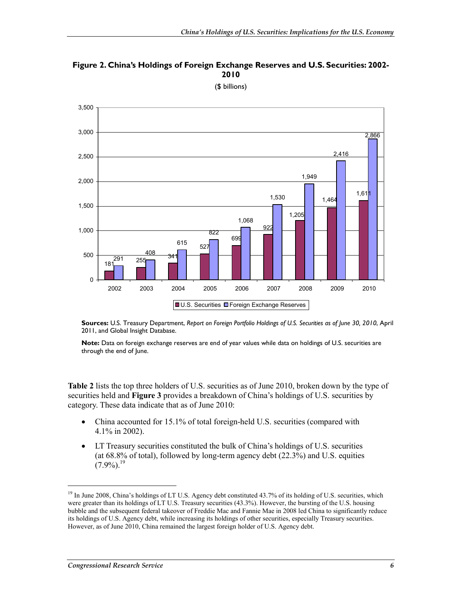



(\$ billions)

**Sources:** U.S. Treasury Department, *Report on Foreign Portfolio Holdings of U.S. Securities as of June 30, 2010*, April 2011, and Global Insight Database.

**Note:** Data on foreign exchange reserves are end of year values while data on holdings of U.S. securities are through the end of June.

**Table 2** lists the top three holders of U.S. securities as of June 2010, broken down by the type of securities held and **Figure 3** provides a breakdown of China's holdings of U.S. securities by category. These data indicate that as of June 2010:

- China accounted for 15.1% of total foreign-held U.S. securities (compared with 4.1% in 2002).
- LT Treasury securities constituted the bulk of China's holdings of U.S. securities (at 68.8% of total), followed by long-term agency debt (22.3%) and U.S. equities  $(7.9\%)$ <sup>19</sup>

<sup>&</sup>lt;sup>19</sup> In June 2008, China's holdings of LT U.S. Agency debt constituted 43.7% of its holding of U.S. securities, which were greater than its holdings of LT U.S. Treasury securities (43.3%). However, the bursting of the U.S. housing bubble and the subsequent federal takeover of Freddie Mac and Fannie Mae in 2008 led China to significantly reduce its holdings of U.S. Agency debt, while increasing its holdings of other securities, especially Treasury securities. However, as of June 2010, China remained the largest foreign holder of U.S. Agency debt.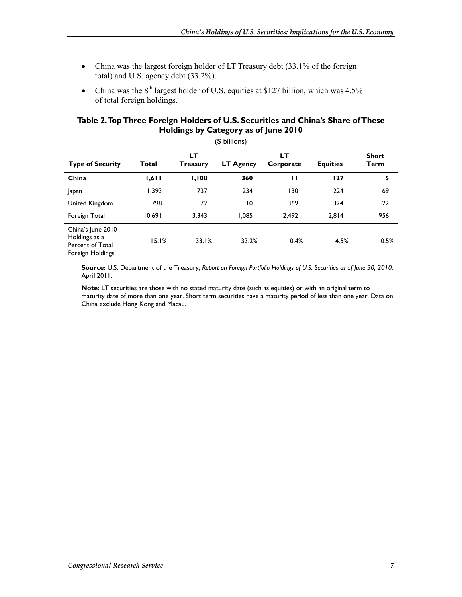- China was the largest foreign holder of LT Treasury debt (33.1% of the foreign total) and U.S. agency debt (33.2%).
- China was the  $8<sup>th</sup>$  largest holder of U.S. equities at \$127 billion, which was 4.5% of total foreign holdings.

#### **Table 2. Top Three Foreign Holders of U.S. Securities and China's Share of These Holdings by Category as of June 2010**

| (\$ billions)                                                              |        |                        |                  |                 |                 |                      |
|----------------------------------------------------------------------------|--------|------------------------|------------------|-----------------|-----------------|----------------------|
| <b>Type of Security</b>                                                    | Total  | LT.<br><b>Treasury</b> | <b>LT Agency</b> | LТ<br>Corporate | <b>Equities</b> | <b>Short</b><br>Term |
| China                                                                      | 1,611  | 1,108                  | 360              | п               | 127             | 5                    |
| Japan                                                                      | 1,393  | 737                    | 234              | 130             | 224             | 69                   |
| United Kingdom                                                             | 798    | 72                     | $\overline{0}$   | 369             | 324             | 22                   |
| Foreign Total                                                              | 10,691 | 3,343                  | 1,085            | 2,492           | 2,814           | 956                  |
| China's June 2010<br>Holdings as a<br>Percent of Total<br>Foreign Holdings | 15.1%  | 33.1%                  | 33.2%            | 0.4%            | 4.5%            | 0.5%                 |

**Source:** U.S. Department of the Treasury, *Report on Foreign Portfolio Holdings of U.S. Securities as of June 30, 2010*, April 2011.

**Note:** LT securities are those with no stated maturity date (such as equities) or with an original term to maturity date of more than one year. Short term securities have a maturity period of less than one year. Data on China exclude Hong Kong and Macau.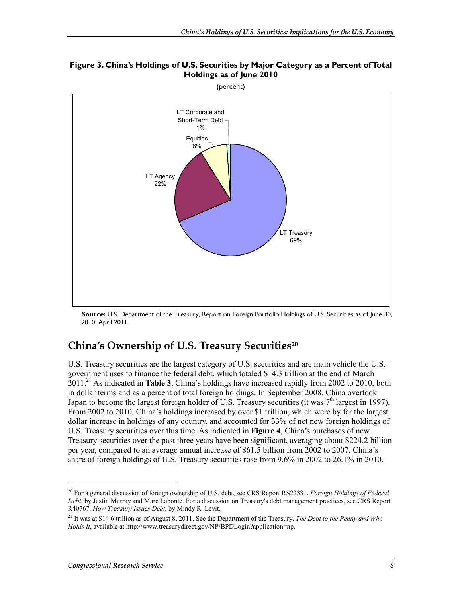

(percent)



**Source:** U.S. Department of the Treasury, Report on Foreign Portfolio Holdings of U.S. Securities as of June 30, 2010, April 2011.

### **China's Ownership of U.S. Treasury Securities20**

U.S. Treasury securities are the largest category of U.S. securities and are main vehicle the U.S. government uses to finance the federal debt, which totaled \$14.3 trillion at the end of March 2011.21 As indicated in **Table 3**, China's holdings have increased rapidly from 2002 to 2010, both in dollar terms and as a percent of total foreign holdings. In September 2008, China overtook Japan to become the largest foreign holder of U.S. Treasury securities (it was  $7<sup>th</sup>$  largest in 1997). From 2002 to 2010, China's holdings increased by over \$1 trillion, which were by far the largest dollar increase in holdings of any country, and accounted for 33% of net new foreign holdings of U.S. Treasury securities over this time. As indicated in **Figure 4**, China's purchases of new Treasury securities over the past three years have been significant, averaging about \$224.2 billion per year, compared to an average annual increase of \$61.5 billion from 2002 to 2007. China's share of foreign holdings of U.S. Treasury securities rose from 9.6% in 2002 to 26.1% in 2010.

<sup>20</sup> For a general discussion of foreign ownership of U.S. debt, see CRS Report RS22331, *Foreign Holdings of Federal Debt*, by Justin Murray and Marc Labonte. For a discussion on Treasury's debt management practices, see CRS Report R40767, *How Treasury Issues Debt*, by Mindy R. Levit.

<sup>21</sup> It was at \$14.6 trillion as of August 8, 2011. See the Department of the Treasury, *The Debt to the Penny and Who Holds It*, available at http://www.treasurydirect.gov/NP/BPDLogin?application=np.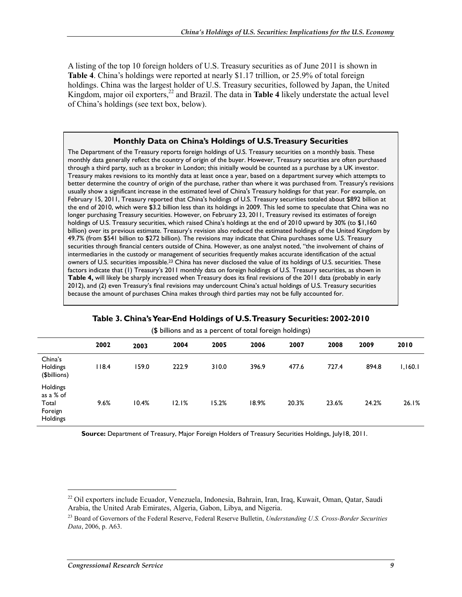A listing of the top 10 foreign holders of U.S. Treasury securities as of June 2011 is shown in **Table 4**. China's holdings were reported at nearly \$1.17 trillion, or 25.9% of total foreign holdings. China was the largest holder of U.S. Treasury securities, followed by Japan, the United Kingdom, major oil exporters, $^{22}$  and Brazil. The data in **Table 4** likely understate the actual level of China's holdings (see text box, below).

#### **Monthly Data on China's Holdings of U.S. Treasury Securities**

The Department of the Treasury reports foreign holdings of U.S. Treasury securities on a monthly basis. These monthly data generally reflect the country of origin of the buyer. However, Treasury securities are often purchased through a third party, such as a broker in London; this initially would be counted as a purchase by a UK investor. Treasury makes revisions to its monthly data at least once a year, based on a department survey which attempts to better determine the country of origin of the purchase, rather than where it was purchased from. Treasury's revisions usually show a significant increase in the estimated level of China's Treasury holdings for that year. For example, on February 15, 2011, Treasury reported that China's holdings of U.S. Treasury securities totaled about \$892 billion at the end of 2010, which were \$3.2 billion less than its holdings in 2009. This led some to speculate that China was no longer purchasing Treasury securities. However, on February 23, 2011, Treasury revised its estimates of foreign holdings of U.S. Treasury securities, which raised China's holdings at the end of 2010 upward by 30% (to \$1,160 billion) over its previous estimate. Treasury's revision also reduced the estimated holdings of the United Kingdom by 49.7% (from \$541 billion to \$272 billion). The revisions may indicate that China purchases some U.S. Treasury securities through financial centers outside of China. However, as one analyst noted, "the involvement of chains of intermediaries in the custody or management of securities frequently makes accurate identification of the actual owners of U.S. securities impossible.23 China has never disclosed the value of its holdings of U.S. securities. These factors indicate that (1) Treasury's 2011 monthly data on foreign holdings of U.S. Treasury securities, as shown in **Table 4,** will likely be sharply increased when Treasury does its final revisions of the 2011 data (probably in early 2012), and (2) even Treasury's final revisions may undercount China's actual holdings of U.S. Treasury securities because the amount of purchases China makes through third parties may not be fully accounted for.

| (\$ billions and as a percent of total foreign holdings) |       |       |       |       |       |       |       |       |         |
|----------------------------------------------------------|-------|-------|-------|-------|-------|-------|-------|-------|---------|
|                                                          | 2002  | 2003  | 2004  | 2005  | 2006  | 2007  | 2008  | 2009  | 2010    |
| China's<br>Holdings<br>(\$billions)                      | 118.4 | 159.0 | 222.9 | 310.0 | 396.9 | 477.6 | 727.4 | 894.8 | 1,160.1 |
| Holdings<br>as a % of<br>Total<br>Foreign<br>Holdings    | 9.6%  | 10.4% | 12.1% | 15.2% | 18.9% | 20.3% | 23.6% | 24.2% | 26.1%   |

#### **Table 3. China's Year-End Holdings of U.S. Treasury Securities: 2002-2010**

**Source:** Department of Treasury, Major Foreign Holders of Treasury Securities Holdings, July18, 2011.

<sup>22</sup> Oil exporters include Ecuador, Venezuela, Indonesia, Bahrain, Iran, Iraq, Kuwait, Oman, Qatar, Saudi Arabia, the United Arab Emirates, Algeria, Gabon, Libya, and Nigeria.

<sup>23</sup> Board of Governors of the Federal Reserve, Federal Reserve Bulletin, *Understanding U.S. Cross-Border Securities Data*, 2006, p. A63.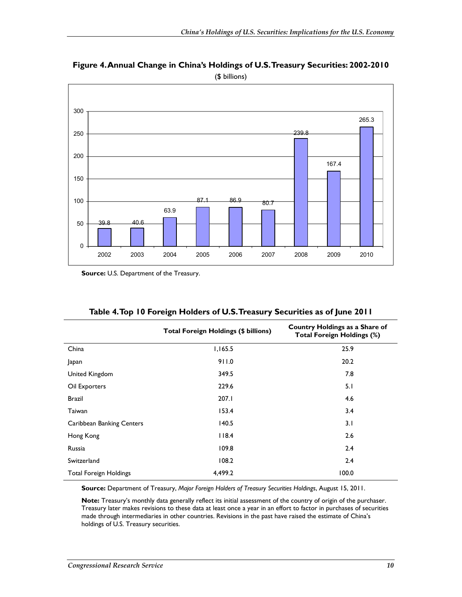

**Figure 4. Annual Change in China's Holdings of U.S. Treasury Securities: 2002-2010**  (\$ billions)

**Source:** U.S. Department of the Treasury.

|                                  | <b>Total Foreign Holdings (\$ billions)</b> | Country Holdings as a Share of<br><b>Total Foreign Holdings (%)</b> |
|----------------------------------|---------------------------------------------|---------------------------------------------------------------------|
| China                            | 1,165.5                                     | 25.9                                                                |
| Japan                            | 911.0                                       | 20.2                                                                |
| United Kingdom                   | 349.5                                       | 7.8                                                                 |
| Oil Exporters                    | 229.6                                       | 5.1                                                                 |
| <b>Brazil</b>                    | 207.I                                       | 4.6                                                                 |
| Taiwan                           | 153.4                                       | 3.4                                                                 |
| <b>Caribbean Banking Centers</b> | 140.5                                       | 3.1                                                                 |
| Hong Kong                        | 118.4                                       | 2.6                                                                 |
| Russia                           | 109.8                                       | 2.4                                                                 |
| Switzerland                      | 108.2                                       | 2.4                                                                 |
| <b>Total Foreign Holdings</b>    | 4,499.2                                     | 100.0                                                               |

|  |  | Table 4.Top 10 Foreign Holders of U.S.Treasury Securities as of June 2011 |  |
|--|--|---------------------------------------------------------------------------|--|
|  |  |                                                                           |  |

**Source:** Department of Treasury, *Major Foreign Holders of Treasury Securities Holdings*, August 15, 2011.

**Note:** Treasury's monthly data generally reflect its initial assessment of the country of origin of the purchaser. Treasury later makes revisions to these data at least once a year in an effort to factor in purchases of securities made through intermediaries in other countries. Revisions in the past have raised the estimate of China's holdings of U.S. Treasury securities.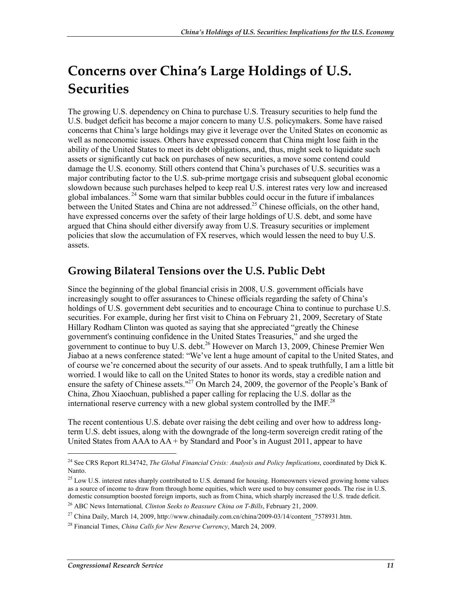## **Concerns over China's Large Holdings of U.S. Securities**

The growing U.S. dependency on China to purchase U.S. Treasury securities to help fund the U.S. budget deficit has become a major concern to many U.S. policymakers. Some have raised concerns that China's large holdings may give it leverage over the United States on economic as well as noneconomic issues. Others have expressed concern that China might lose faith in the ability of the United States to meet its debt obligations, and, thus, might seek to liquidate such assets or significantly cut back on purchases of new securities, a move some contend could damage the U.S. economy. Still others contend that China's purchases of U.S. securities was a major contributing factor to the U.S. sub-prime mortgage crisis and subsequent global economic slowdown because such purchases helped to keep real U.S. interest rates very low and increased global imbalances. 24 Some warn that similar bubbles could occur in the future if imbalances between the United States and China are not addressed.<sup>25</sup> Chinese officials, on the other hand, have expressed concerns over the safety of their large holdings of U.S. debt, and some have argued that China should either diversify away from U.S. Treasury securities or implement policies that slow the accumulation of FX reserves, which would lessen the need to buy U.S. assets.

#### **Growing Bilateral Tensions over the U.S. Public Debt**

Since the beginning of the global financial crisis in 2008, U.S. government officials have increasingly sought to offer assurances to Chinese officials regarding the safety of China's holdings of U.S. government debt securities and to encourage China to continue to purchase U.S. securities. For example, during her first visit to China on February 21, 2009, Secretary of State Hillary Rodham Clinton was quoted as saying that she appreciated "greatly the Chinese government's continuing confidence in the United States Treasuries," and she urged the government to continue to buy U.S. debt.<sup>26</sup> However on March 13, 2009, Chinese Premier Wen Jiabao at a news conference stated: "We've lent a huge amount of capital to the United States, and of course we're concerned about the security of our assets. And to speak truthfully, I am a little bit worried. I would like to call on the United States to honor its words, stay a credible nation and ensure the safety of Chinese assets."<sup>27</sup> On March 24, 2009, the governor of the People's Bank of China, Zhou Xiaochuan, published a paper calling for replacing the U.S. dollar as the international reserve currency with a new global system controlled by the IMF.<sup>28</sup>

The recent contentious U.S. debate over raising the debt ceiling and over how to address longterm U.S. debt issues, along with the downgrade of the long-term sovereign credit rating of the United States from  $AAA$  to  $AA + by$  Standard and Poor's in August 2011, appear to have

<sup>24</sup> See CRS Report RL34742, *The Global Financial Crisis: Analysis and Policy Implications*, coordinated by Dick K. Nanto.

<sup>&</sup>lt;sup>25</sup> Low U.S. interest rates sharply contributed to U.S. demand for housing. Homeowners viewed growing home values as a source of income to draw from through home equities, which were used to buy consumer goods. The rise in U.S. domestic consumption boosted foreign imports, such as from China, which sharply increased the U.S. trade deficit.

<sup>26</sup> ABC News International*, Clinton Seeks to Reassure China on T-Bills*, February 21, 2009.

<sup>&</sup>lt;sup>27</sup> China Daily, March 14, 2009, http://www.chinadaily.com.cn/china/2009-03/14/content\_7578931.htm.

<sup>28</sup> Financial Times, *China Calls for New Reserve Currency*, March 24, 2009.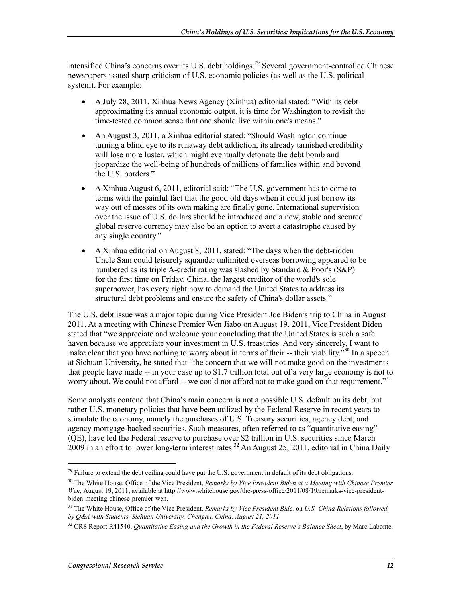intensified China's concerns over its U.S. debt holdings.<sup>29</sup> Several government-controlled Chinese newspapers issued sharp criticism of U.S. economic policies (as well as the U.S. political system). For example:

- A July 28, 2011, Xinhua News Agency (Xinhua) editorial stated: "With its debt approximating its annual economic output, it is time for Washington to revisit the time-tested common sense that one should live within one's means."
- An August 3, 2011, a Xinhua editorial stated: "Should Washington continue turning a blind eye to its runaway debt addiction, its already tarnished credibility will lose more luster, which might eventually detonate the debt bomb and jeopardize the well-being of hundreds of millions of families within and beyond the U.S. borders."
- A Xinhua August 6, 2011, editorial said: "The U.S. government has to come to terms with the painful fact that the good old days when it could just borrow its way out of messes of its own making are finally gone. International supervision over the issue of U.S. dollars should be introduced and a new, stable and secured global reserve currency may also be an option to avert a catastrophe caused by any single country."
- A Xinhua editorial on August 8, 2011, stated: "The days when the debt-ridden Uncle Sam could leisurely squander unlimited overseas borrowing appeared to be numbered as its triple A-credit rating was slashed by Standard & Poor's (S&P) for the first time on Friday. China, the largest creditor of the world's sole superpower, has every right now to demand the United States to address its structural debt problems and ensure the safety of China's dollar assets."

The U.S. debt issue was a major topic during Vice President Joe Biden's trip to China in August 2011. At a meeting with Chinese Premier Wen Jiabo on August 19, 2011, Vice President Biden stated that "we appreciate and welcome your concluding that the United States is such a safe haven because we appreciate your investment in U.S. treasuries. And very sincerely, I want to make clear that you have nothing to worry about in terms of their -- their viability.<sup>330</sup> In a speech at Sichuan University, he stated that "the concern that we will not make good on the investments that people have made -- in your case up to \$1.7 trillion total out of a very large economy is not to worry about. We could not afford -- we could not afford not to make good on that requirement."<sup>31</sup>

Some analysts contend that China's main concern is not a possible U.S. default on its debt, but rather U.S. monetary policies that have been utilized by the Federal Reserve in recent years to stimulate the economy, namely the purchases of U.S. Treasury securities, agency debt, and agency mortgage-backed securities. Such measures, often referred to as "quantitative easing" (QE), have led the Federal reserve to purchase over \$2 trillion in U.S. securities since March  $2009$  in an effort to lower long-term interest rates.<sup>32</sup> An August 25, 2011, editorial in China Daily

<sup>&</sup>lt;sup>29</sup> Failure to extend the debt ceiling could have put the U.S. government in default of its debt obligations.

<sup>&</sup>lt;sup>30</sup> The White House, Office of the Vice President, *Remarks by Vice President Biden at a Meeting with Chinese Premier Wen*, August 19, 2011, available at http://www.whitehouse.gov/the-press-office/2011/08/19/remarks-vice-presidentbiden-meeting-chinese-premier-wen.

<sup>31</sup> The White House, Office of the Vice President, *Remarks by Vice President Bide,* on *U.S.-China Relations followed by Q&A with Students, Sichuan University, Chengdu, China, August 21, 2011.* 

<sup>32</sup> CRS Report R41540, *Quantitative Easing and the Growth in the Federal Reserve's Balance Sheet*, by Marc Labonte.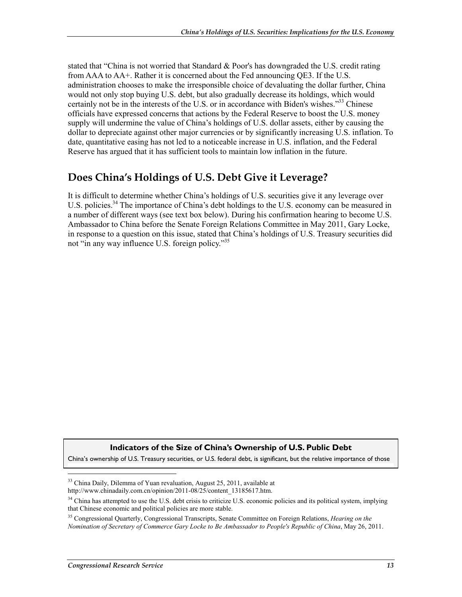stated that "China is not worried that Standard & Poor's has downgraded the U.S. credit rating from AAA to AA+. Rather it is concerned about the Fed announcing QE3. If the U.S. administration chooses to make the irresponsible choice of devaluating the dollar further, China would not only stop buying U.S. debt, but also gradually decrease its holdings, which would certainly not be in the interests of the U.S. or in accordance with Biden's wishes."<sup>33</sup> Chinese officials have expressed concerns that actions by the Federal Reserve to boost the U.S. money supply will undermine the value of China's holdings of U.S. dollar assets, either by causing the dollar to depreciate against other major currencies or by significantly increasing U.S. inflation. To date, quantitative easing has not led to a noticeable increase in U.S. inflation, and the Federal Reserve has argued that it has sufficient tools to maintain low inflation in the future.

### **Does China's Holdings of U.S. Debt Give it Leverage?**

It is difficult to determine whether China's holdings of U.S. securities give it any leverage over U.S. policies.<sup>34</sup> The importance of China's debt holdings to the U.S. economy can be measured in a number of different ways (see text box below). During his confirmation hearing to become U.S. Ambassador to China before the Senate Foreign Relations Committee in May 2011, Gary Locke, in response to a question on this issue, stated that China's holdings of U.S. Treasury securities did not "in any way influence U.S. foreign policy."<sup>35</sup>

#### **Indicators of the Size of China's Ownership of U.S. Public Debt**

China's ownership of U.S. Treasury securities, or U.S. federal debt, is significant, but the relative importance of those

35 Congressional Quarterly, Congressional Transcripts, Senate Committee on Foreign Relations, *Hearing on the Nomination of Secretary of Commerce Gary Locke to Be Ambassador to People's Republic of China*, May 26, 2011.

 $\overline{\phantom{a}}$ 

<sup>&</sup>lt;sup>33</sup> China Daily, Dilemma of Yuan revaluation, August 25, 2011, available at http://www.chinadaily.com.cn/opinion/2011-08/25/content\_13185617.htm.

<sup>&</sup>lt;sup>34</sup> China has attempted to use the U.S. debt crisis to criticize U.S. economic policies and its political system, implying that Chinese economic and political policies are more stable.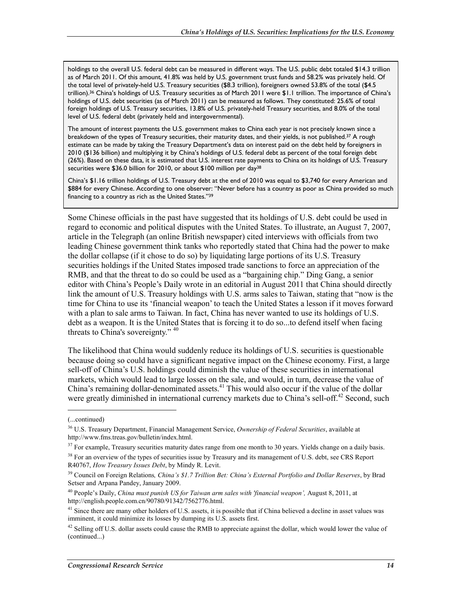holdings to the overall U.S. federal debt can be measured in different ways. The U.S. public debt totaled \$14.3 trillion as of March 2011. Of this amount, 41.8% was held by U.S. government trust funds and 58.2% was privately held. Of the total level of privately-held U.S. Treasury securities (\$8.3 trillion), foreigners owned 53.8% of the total (\$4.5 trillion).36 China's holdings of U.S. Treasury securities as of March 2011 were \$1.1 trillion. The importance of China's holdings of U.S. debt securities (as of March 2011) can be measured as follows. They constituted: 25.6% of total foreign holdings of U.S. Treasury securities, 13.8% of U.S. privately-held Treasury securities, and 8.0% of the total level of U.S. federal debt (privately held and intergovernmental).

The amount of interest payments the U.S. government makes to China each year is not precisely known since a breakdown of the types of Treasury securities, their maturity dates, and their yields, is not published.<sup>37</sup> A rough estimate can be made by taking the Treasury Department's data on interest paid on the debt held by foreigners in 2010 (\$136 billion) and multiplying it by China's holdings of U.S. federal debt as percent of the total foreign debt (26%). Based on these data, it is estimated that U.S. interest rate payments to China on its holdings of U.S. Treasury securities were \$36.0 billion for 2010, or about \$100 million per day<sup>38</sup>

China's \$1.16 trillion holdings of U.S. Treasury debt at the end of 2010 was equal to \$3,740 for every American and \$884 for every Chinese. According to one observer: "Never before has a country as poor as China provided so much financing to a country as rich as the United States."39

Some Chinese officials in the past have suggested that its holdings of U.S. debt could be used in regard to economic and political disputes with the United States. To illustrate, an August 7, 2007, article in the Telegraph (an online British newspaper) cited interviews with officials from two leading Chinese government think tanks who reportedly stated that China had the power to make the dollar collapse (if it chose to do so) by liquidating large portions of its U.S. Treasury securities holdings if the United States imposed trade sanctions to force an appreciation of the RMB, and that the threat to do so could be used as a "bargaining chip." Ding Gang, a senior editor with China's People's Daily wrote in an editorial in August 2011 that China should directly link the amount of U.S. Treasury holdings with U.S. arms sales to Taiwan, stating that "now is the time for China to use its 'financial weapon' to teach the United States a lesson if it moves forward with a plan to sale arms to Taiwan. In fact, China has never wanted to use its holdings of U.S. debt as a weapon. It is the United States that is forcing it to do so...to defend itself when facing threats to China's sovereignty." <sup>40</sup>

The likelihood that China would suddenly reduce its holdings of U.S. securities is questionable because doing so could have a significant negative impact on the Chinese economy. First, a large sell-off of China's U.S. holdings could diminish the value of these securities in international markets, which would lead to large losses on the sale, and would, in turn, decrease the value of China's remaining dollar-denominated assets.<sup>41</sup> This would also occur if the value of the dollar were greatly diminished in international currency markets due to China's sell-off.<sup>42</sup> Second, such

<sup>(...</sup>continued)

<sup>36</sup> U.S. Treasury Department, Financial Management Service, *Ownership of Federal Securities*, available at http://www.fms.treas.gov/bulletin/index.html.

 $37$  For example, Treasury securities maturity dates range from one month to 30 years. Yields change on a daily basis.

<sup>&</sup>lt;sup>38</sup> For an overview of the types of securities issue by Treasury and its management of U.S. debt, see CRS Report R40767, *How Treasury Issues Debt*, by Mindy R. Levit.

<sup>39</sup> Council on Foreign Relations*, China's \$1.7 Trillion Bet: China's External Portfolio and Dollar Reserves*, by Brad Setser and Arpana Pandey, January 2009.

<sup>40</sup> People's Daily, *China must punish US for Taiwan arm sales with 'financial weapon',* August 8, 2011, at http://english.people.com.cn/90780/91342/7562776.html.

<sup>&</sup>lt;sup>41</sup> Since there are many other holders of U.S. assets, it is possible that if China believed a decline in asset values was imminent, it could minimize its losses by dumping its U.S. assets first.

 $42$  Selling off U.S. dollar assets could cause the RMB to appreciate against the dollar, which would lower the value of (continued...)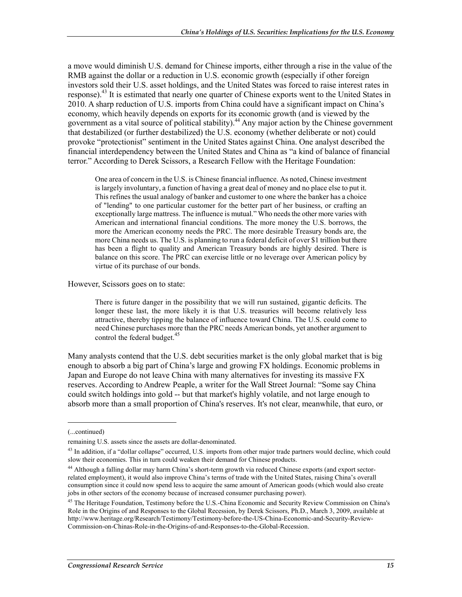a move would diminish U.S. demand for Chinese imports, either through a rise in the value of the RMB against the dollar or a reduction in U.S. economic growth (especially if other foreign investors sold their U.S. asset holdings, and the United States was forced to raise interest rates in response).<sup>43</sup> It is estimated that nearly one quarter of Chinese exports went to the United States in 2010. A sharp reduction of U.S. imports from China could have a significant impact on China's economy, which heavily depends on exports for its economic growth (and is viewed by the government as a vital source of political stability).<sup>44</sup> Any major action by the Chinese government that destabilized (or further destabilized) the U.S. economy (whether deliberate or not) could provoke "protectionist" sentiment in the United States against China. One analyst described the financial interdependency between the United States and China as "a kind of balance of financial terror." According to Derek Scissors, a Research Fellow with the Heritage Foundation:

One area of concern in the U.S. is Chinese financial influence. As noted, Chinese investment is largely involuntary, a function of having a great deal of money and no place else to put it. This refines the usual analogy of banker and customer to one where the banker has a choice of "lending" to one particular customer for the better part of her business, or crafting an exceptionally large mattress. The influence is mutual." Who needs the other more varies with American and international financial conditions. The more money the U.S. borrows, the more the American economy needs the PRC. The more desirable Treasury bonds are, the more China needs us. The U.S. is planning to run a federal deficit of over \$1 trillion but there has been a flight to quality and American Treasury bonds are highly desired. There is balance on this score. The PRC can exercise little or no leverage over American policy by virtue of its purchase of our bonds.

However, Scissors goes on to state:

There is future danger in the possibility that we will run sustained, gigantic deficits. The longer these last, the more likely it is that U.S. treasuries will become relatively less attractive, thereby tipping the balance of influence toward China. The U.S. could come to need Chinese purchases more than the PRC needs American bonds, yet another argument to control the federal budget. $45$ 

Many analysts contend that the U.S. debt securities market is the only global market that is big enough to absorb a big part of China's large and growing FX holdings. Economic problems in Japan and Europe do not leave China with many alternatives for investing its massive FX reserves. According to Andrew Peaple, a writer for the Wall Street Journal: "Some say China could switch holdings into gold -- but that market's highly volatile, and not large enough to absorb more than a small proportion of China's reserves. It's not clear, meanwhile, that euro, or

<sup>(...</sup>continued)

remaining U.S. assets since the assets are dollar-denominated.

<sup>&</sup>lt;sup>43</sup> In addition, if a "dollar collapse" occurred, U.S. imports from other major trade partners would decline, which could slow their economies. This in turn could weaken their demand for Chinese products.

<sup>44</sup> Although a falling dollar may harm China's short-term growth via reduced Chinese exports (and export sectorrelated employment), it would also improve China's terms of trade with the United States, raising China's overall consumption since it could now spend less to acquire the same amount of American goods (which would also create jobs in other sectors of the economy because of increased consumer purchasing power).

<sup>&</sup>lt;sup>45</sup> The Heritage Foundation, Testimony before the U.S.-China Economic and Security Review Commission on China's Role in the Origins of and Responses to the Global Recession, by Derek Scissors, Ph.D., March 3, 2009, available at http://www.heritage.org/Research/Testimony/Testimony-before-the-US-China-Economic-and-Security-Review-Commission-on-Chinas-Role-in-the-Origins-of-and-Responses-to-the-Global-Recession.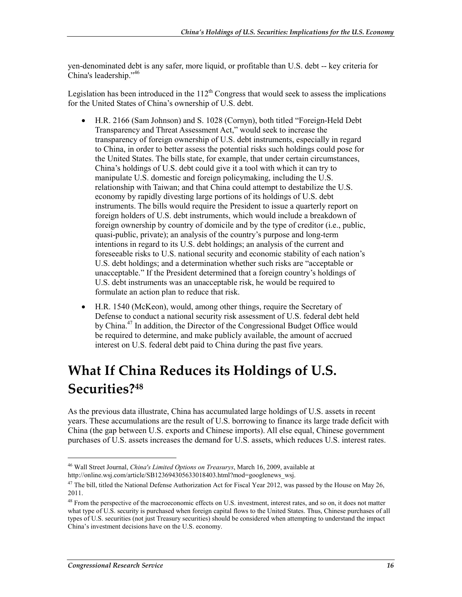yen-denominated debt is any safer, more liquid, or profitable than U.S. debt -- key criteria for China's leadership."46

Legislation has been introduced in the  $112<sup>th</sup>$  Congress that would seek to assess the implications for the United States of China's ownership of U.S. debt.

- H.R. 2166 (Sam Johnson) and S. 1028 (Cornyn), both titled "Foreign-Held Debt Transparency and Threat Assessment Act," would seek to increase the transparency of foreign ownership of U.S. debt instruments, especially in regard to China, in order to better assess the potential risks such holdings could pose for the United States. The bills state, for example, that under certain circumstances, China's holdings of U.S. debt could give it a tool with which it can try to manipulate U.S. domestic and foreign policymaking, including the U.S. relationship with Taiwan; and that China could attempt to destabilize the U.S. economy by rapidly divesting large portions of its holdings of U.S. debt instruments. The bills would require the President to issue a quarterly report on foreign holders of U.S. debt instruments, which would include a breakdown of foreign ownership by country of domicile and by the type of creditor (i.e., public, quasi-public, private); an analysis of the country's purpose and long-term intentions in regard to its U.S. debt holdings; an analysis of the current and foreseeable risks to U.S. national security and economic stability of each nation's U.S. debt holdings; and a determination whether such risks are "acceptable or unacceptable." If the President determined that a foreign country's holdings of U.S. debt instruments was an unacceptable risk, he would be required to formulate an action plan to reduce that risk.
- H.R. 1540 (McKeon), would, among other things, require the Secretary of Defense to conduct a national security risk assessment of U.S. federal debt held by China.47 In addition, the Director of the Congressional Budget Office would be required to determine, and make publicly available, the amount of accrued interest on U.S. federal debt paid to China during the past five years.

### **What If China Reduces its Holdings of U.S. Securities?48**

As the previous data illustrate, China has accumulated large holdings of U.S. assets in recent years. These accumulations are the result of U.S. borrowing to finance its large trade deficit with China (the gap between U.S. exports and Chinese imports). All else equal, Chinese government purchases of U.S. assets increases the demand for U.S. assets, which reduces U.S. interest rates.

<sup>46</sup> Wall Street Journal, *China's Limited Options on Treasurys*, March 16, 2009, available at http://online.wsj.com/article/SB123694305633018403.html?mod=googlenews\_wsj.

 $47$  The bill, titled the National Defense Authorization Act for Fiscal Year 2012, was passed by the House on May 26, 2011.

<sup>&</sup>lt;sup>48</sup> From the perspective of the macroeconomic effects on U.S. investment, interest rates, and so on, it does not matter what type of U.S. security is purchased when foreign capital flows to the United States. Thus, Chinese purchases of all types of U.S. securities (not just Treasury securities) should be considered when attempting to understand the impact China's investment decisions have on the U.S. economy.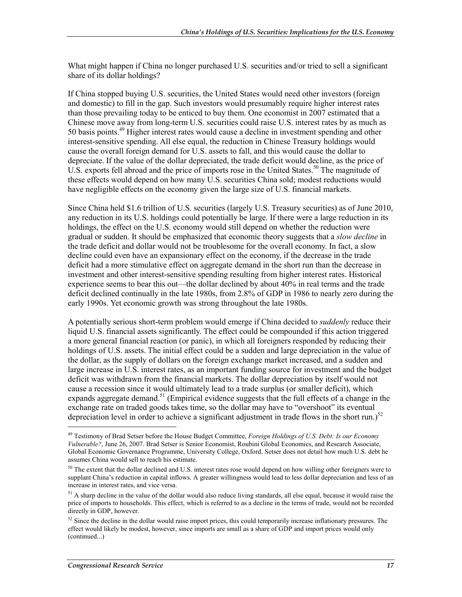What might happen if China no longer purchased U.S. securities and/or tried to sell a significant share of its dollar holdings?

If China stopped buying U.S. securities, the United States would need other investors (foreign and domestic) to fill in the gap. Such investors would presumably require higher interest rates than those prevailing today to be enticed to buy them. One economist in 2007 estimated that a Chinese move away from long-term U.S. securities could raise U.S. interest rates by as much as 50 basis points.<sup>49</sup> Higher interest rates would cause a decline in investment spending and other interest-sensitive spending. All else equal, the reduction in Chinese Treasury holdings would cause the overall foreign demand for U.S. assets to fall, and this would cause the dollar to depreciate. If the value of the dollar depreciated, the trade deficit would decline, as the price of U.S. exports fell abroad and the price of imports rose in the United States.<sup>50</sup> The magnitude of these effects would depend on how many U.S. securities China sold; modest reductions would have negligible effects on the economy given the large size of U.S. financial markets.

Since China held \$1.6 trillion of U.S. securities (largely U.S. Treasury securities) as of June 2010, any reduction in its U.S. holdings could potentially be large. If there were a large reduction in its holdings, the effect on the U.S. economy would still depend on whether the reduction were gradual or sudden. It should be emphasized that economic theory suggests that a *slow decline* in the trade deficit and dollar would not be troublesome for the overall economy. In fact, a slow decline could even have an expansionary effect on the economy, if the decrease in the trade deficit had a more stimulative effect on aggregate demand in the short run than the decrease in investment and other interest-sensitive spending resulting from higher interest rates. Historical experience seems to bear this out—the dollar declined by about 40% in real terms and the trade deficit declined continually in the late 1980s, from 2.8% of GDP in 1986 to nearly zero during the early 1990s. Yet economic growth was strong throughout the late 1980s.

A potentially serious short-term problem would emerge if China decided to *suddenly* reduce their liquid U.S. financial assets significantly. The effect could be compounded if this action triggered a more general financial reaction (or panic), in which all foreigners responded by reducing their holdings of U.S. assets. The initial effect could be a sudden and large depreciation in the value of the dollar, as the supply of dollars on the foreign exchange market increased, and a sudden and large increase in U.S. interest rates, as an important funding source for investment and the budget deficit was withdrawn from the financial markets. The dollar depreciation by itself would not cause a recession since it would ultimately lead to a trade surplus (or smaller deficit), which expands aggregate demand.<sup>51</sup> (Empirical evidence suggests that the full effects of a change in the exchange rate on traded goods takes time, so the dollar may have to "overshoot" its eventual depreciation level in order to achieve a significant adjustment in trade flows in the short run.)<sup>52</sup>

<sup>49</sup> Testimony of Brad Setser before the House Budget Committee, *Foreign Holdings of U.S. Debt: Is our Economy Vulnerable?*, June 26, 2007. Brad Setser is Senior Economist, Roubini Global Economics, and Research Associate, Global Economic Governance Programme, University College, Oxford. Setser does not detail how much U.S. debt he assumes China would sell to reach his estimate.

<sup>&</sup>lt;sup>50</sup> The extent that the dollar declined and U.S. interest rates rose would depend on how willing other foreigners were to supplant China's reduction in capital inflows. A greater willingness would lead to less dollar depreciation and less of an increase in interest rates, and vice versa.

 $<sup>51</sup>$  A sharp decline in the value of the dollar would also reduce living standards, all else equal, because it would raise the</sup> price of imports to households. This effect, which is referred to as a decline in the terms of trade, would not be recorded directly in GDP, however.

 $52$  Since the decline in the dollar would raise import prices, this could temporarily increase inflationary pressures. The effect would likely be modest, however, since imports are small as a share of GDP and import prices would only (continued...)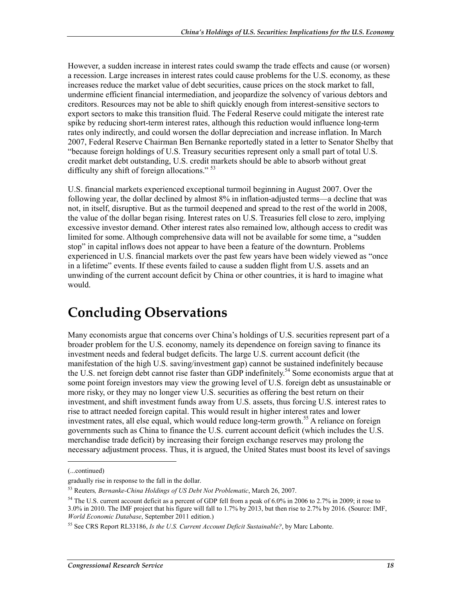However, a sudden increase in interest rates could swamp the trade effects and cause (or worsen) a recession. Large increases in interest rates could cause problems for the U.S. economy, as these increases reduce the market value of debt securities, cause prices on the stock market to fall, undermine efficient financial intermediation, and jeopardize the solvency of various debtors and creditors. Resources may not be able to shift quickly enough from interest-sensitive sectors to export sectors to make this transition fluid. The Federal Reserve could mitigate the interest rate spike by reducing short-term interest rates, although this reduction would influence long-term rates only indirectly, and could worsen the dollar depreciation and increase inflation. In March 2007, Federal Reserve Chairman Ben Bernanke reportedly stated in a letter to Senator Shelby that "because foreign holdings of U.S. Treasury securities represent only a small part of total U.S. credit market debt outstanding, U.S. credit markets should be able to absorb without great difficulty any shift of foreign allocations."<sup>53</sup>

U.S. financial markets experienced exceptional turmoil beginning in August 2007. Over the following year, the dollar declined by almost 8% in inflation-adjusted terms—a decline that was not, in itself, disruptive. But as the turmoil deepened and spread to the rest of the world in 2008, the value of the dollar began rising. Interest rates on U.S. Treasuries fell close to zero, implying excessive investor demand. Other interest rates also remained low, although access to credit was limited for some. Although comprehensive data will not be available for some time, a "sudden stop" in capital inflows does not appear to have been a feature of the downturn. Problems experienced in U.S. financial markets over the past few years have been widely viewed as "once in a lifetime" events. If these events failed to cause a sudden flight from U.S. assets and an unwinding of the current account deficit by China or other countries, it is hard to imagine what would.

### **Concluding Observations**

Many economists argue that concerns over China's holdings of U.S. securities represent part of a broader problem for the U.S. economy, namely its dependence on foreign saving to finance its investment needs and federal budget deficits. The large U.S. current account deficit (the manifestation of the high U.S. saving/investment gap) cannot be sustained indefinitely because the U.S. net foreign debt cannot rise faster than GDP indefinitely.<sup>54</sup> Some economists argue that at some point foreign investors may view the growing level of U.S. foreign debt as unsustainable or more risky, or they may no longer view U.S. securities as offering the best return on their investment, and shift investment funds away from U.S. assets, thus forcing U.S. interest rates to rise to attract needed foreign capital. This would result in higher interest rates and lower investment rates, all else equal, which would reduce long-term growth.<sup>55</sup> A reliance on foreign governments such as China to finance the U.S. current account deficit (which includes the U.S. merchandise trade deficit) by increasing their foreign exchange reserves may prolong the necessary adjustment process. Thus, it is argued, the United States must boost its level of savings

<sup>(...</sup>continued)

gradually rise in response to the fall in the dollar.

<sup>53</sup> Reuters*, Bernanke-China Holdings of US Debt Not Problematic*, March 26, 2007.

<sup>&</sup>lt;sup>54</sup> The U.S. current account deficit as a percent of GDP fell from a peak of 6.0% in 2006 to 2.7% in 2009; it rose to 3.0% in 2010. The IMF project that his figure will fall to 1.7% by 2013, but then rise to 2.7% by 2016. (Source: IMF, *World Economic Database*, September 2011 edition.)

<sup>55</sup> See CRS Report RL33186, *Is the U.S. Current Account Deficit Sustainable?*, by Marc Labonte.